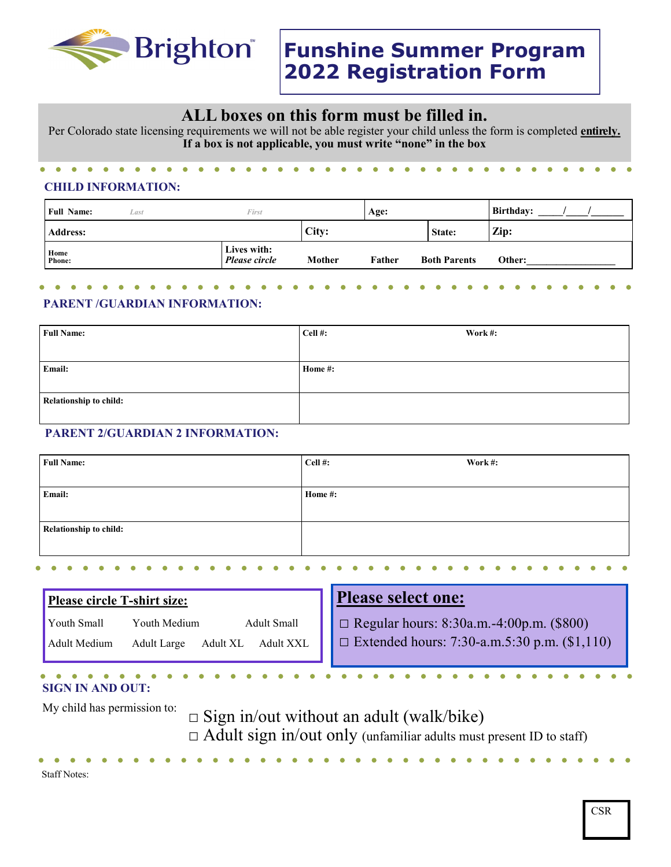

# **ALL boxes on this form must be filled in.**

Per Colorado state licensing requirements we will not be able register your child unless the form is completed **entirely. If a box is not applicable, you must write "none" in the box**

## **CHILD INFORMATION:**

| <b>Full Name:</b>     | Last | First                        |        | Age:   |                     | Birthday: |
|-----------------------|------|------------------------------|--------|--------|---------------------|-----------|
| <b>Address:</b>       |      |                              | City:  |        | State:              | Zip:      |
| Home<br><b>Phone:</b> |      | Lives with:<br>Please circle | Mother | Father | <b>Both Parents</b> | Other:    |

#### **PARENT /GUARDIAN INFORMATION:**

| <b>Full Name:</b>             | Cell #: | Work #: |
|-------------------------------|---------|---------|
|                               |         |         |
| Email:                        | Home #: |         |
|                               |         |         |
| <b>Relationship to child:</b> |         |         |
|                               |         |         |

### **PARENT 2/GUARDIAN 2 INFORMATION:**

| <b>Full Name:</b>             | Cell #: | Work#: |
|-------------------------------|---------|--------|
|                               |         |        |
| Email:                        | Home #: |        |
|                               |         |        |
| <b>Relationship to child:</b> |         |        |
|                               |         |        |

| <b>Please circle T-shirt size:</b>                                                                               | <b>Please select one:</b>                                                                         |  |  |
|------------------------------------------------------------------------------------------------------------------|---------------------------------------------------------------------------------------------------|--|--|
| Adult Small<br>Youth Small<br>Youth Medium<br>Adult Medium<br><b>Adult XXL</b><br>Adult XL<br><b>Adult Large</b> | $\Box$ Regular hours: 8:30a.m.-4:00p.m. (\$800)<br>Extended hours: 7:30-a.m.5:30 p.m. $(\$1,110)$ |  |  |
| <b>SIGN IN AND OUT:</b>                                                                                          |                                                                                                   |  |  |

My child has permission to:  $\square$  Sign in/out without an adult (walk/bike)  $\Box$  Adult sign in/out only (unfamiliar adults must present ID to staff)

Staff Notes:

 $\bullet$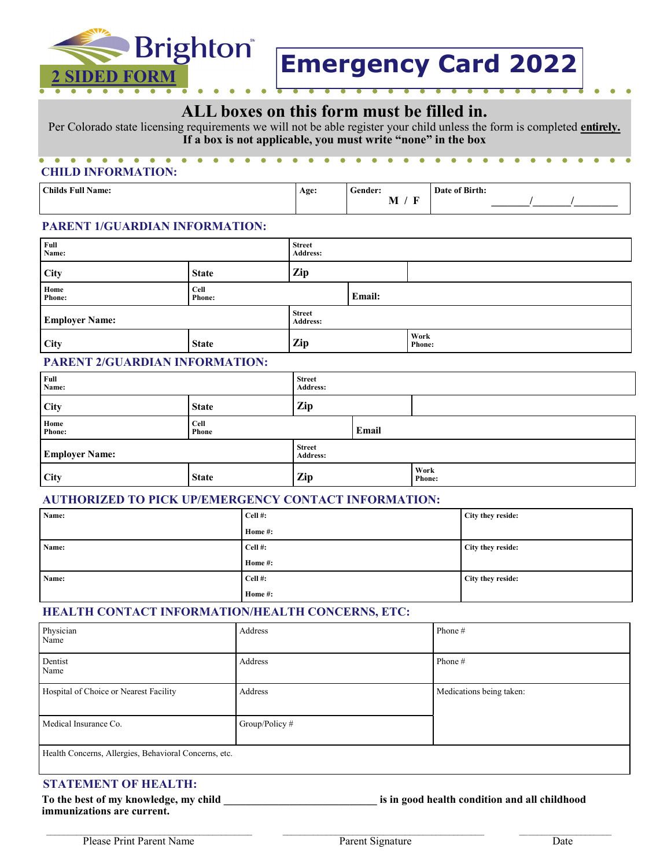

## **ALL boxes on this form must be filled in.**

Per Colorado state licensing requirements we will not be able register your child unless the form is completed **entirely. If a box is not applicable, you must write "none" in the box**

## **CHILD INFORMATION:**

| <b>Childs Full Name:</b><br>$\sim$ $\sim$ | Age: | $\sim$<br>-ender:  | of Birth:<br>Date<br>ija. |
|-------------------------------------------|------|--------------------|---------------------------|
|                                           |      | œ<br>M<br>. .<br>- |                           |

#### **PARENT 1/GUARDIAN INFORMATION:**

| Full<br>Name:         | <b>Street</b><br><b>Address:</b> |                                  |        |                       |
|-----------------------|----------------------------------|----------------------------------|--------|-----------------------|
| <b>City</b>           | <b>State</b>                     | Zip                              |        |                       |
| Home<br><b>Phone:</b> | Cell<br><b>Phone:</b>            |                                  | Email: |                       |
| <b>Employer Name:</b> |                                  | <b>Street</b><br><b>Address:</b> |        |                       |
| City                  | <b>State</b>                     | Zip                              |        | Work<br><b>Phone:</b> |

## **PARENT 2/GUARDIAN INFORMATION:**

| Full<br>Name:         |                           | <b>Street</b><br>Address: |       |                       |
|-----------------------|---------------------------|---------------------------|-------|-----------------------|
| <b>City</b>           | <b>State</b>              | Zip                       |       |                       |
| Home<br><b>Phone:</b> | Cell<br><b>Phone</b>      |                           | Email |                       |
| <b>Employer Name:</b> | <b>Street</b><br>Address: |                           |       |                       |
| City                  | <b>State</b>              | Zip                       |       | Work<br><b>Phone:</b> |

#### **AUTHORIZED TO PICK UP/EMERGENCY CONTACT INFORMATION:**

| Name: | Cell#:    | City they reside: |
|-------|-----------|-------------------|
|       | Home #:   |                   |
| Name: | Cell#:    | City they reside: |
|       | Home #:   |                   |
| Name: | $Cell$ #: | City they reside: |
|       | Home #:   |                   |

#### **HEALTH CONTACT INFORMATION/HEALTH CONCERNS, ETC:**

| Physician<br>Name                                     | Address          | Phone #                  |
|-------------------------------------------------------|------------------|--------------------------|
| Dentist<br>Name                                       | Address          | Phone $#$                |
| Hospital of Choice or Nearest Facility                | Address          | Medications being taken: |
| Medical Insurance Co.                                 | Group/Policy $#$ |                          |
| Health Concerns, Allergies, Behavioral Concerns, etc. |                  |                          |

### **STATEMENT OF HEALTH:**

To the best of my knowledge, my child **the interval is in good health condition and all childhood immunizations are current.**